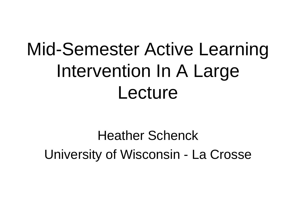# Mid-Semester Active Learning Intervention In A Large Lecture

Heather Schenck University of Wisconsin - La Crosse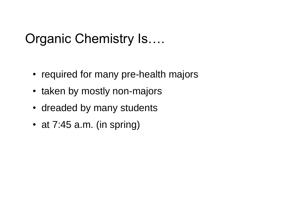#### Organic Chemistry Is….

- required for many pre-health majors
- taken by mostly non-majors
- dreaded by many students
- at 7:45 a.m. (in spring)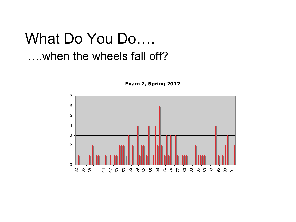## What Do You Do…. ….when the wheels fall off?

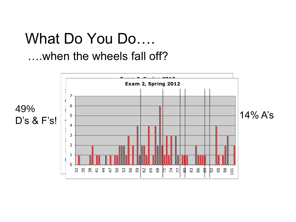## What Do You Do…. ….when the wheels fall off?

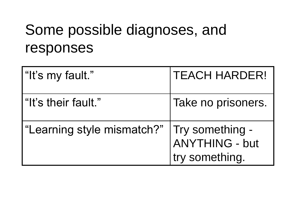# Some possible diagnoses, and responses

| "It's my fault."           | <b>TEACH HARDER!</b>                                       |
|----------------------------|------------------------------------------------------------|
| "It's their fault."        | Take no prisoners.                                         |
| "Learning style mismatch?" | Try something -<br><b>ANYTHING - but</b><br>try something. |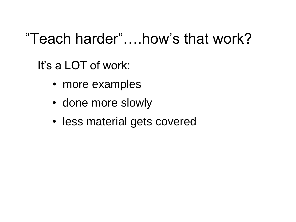# "Teach harder"….how's that work?

It's a LOT of work:

- more examples
- done more slowly
- less material gets covered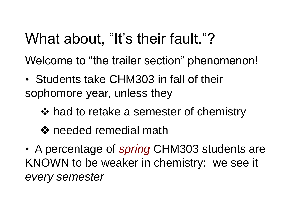# What about, "It's their fault."?

Welcome to "the trailer section" phenomenon!

- Students take CHM303 in fall of their sophomore year, unless they
	- ❖ had to retake a semester of chemistry
	- ❖ needed remedial math
- A percentage of *spring* CHM303 students are KNOWN to be weaker in chemistry: we see it *every semester*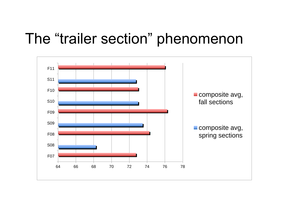## The "trailer section" phenomenon

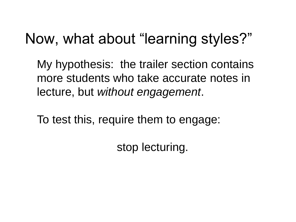# Now, what about "learning styles?"

My hypothesis: the trailer section contains more students who take accurate notes in lecture, but *without engagement*.

To test this, require them to engage:

stop lecturing.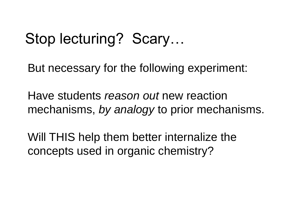# Stop lecturing? Scary…

But necessary for the following experiment:

Have students *reason out* new reaction mechanisms, *by analogy* to prior mechanisms.

Will THIS help them better internalize the concepts used in organic chemistry?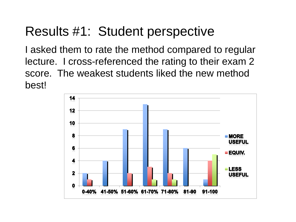#### Results #1: Student perspective

I asked them to rate the method compared to regular lecture. I cross-referenced the rating to their exam 2 score. The weakest students liked the new method best!

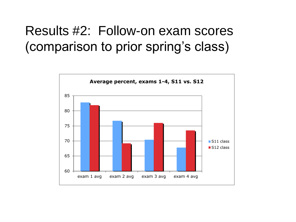#### Results #2: Follow-on exam scores (comparison to prior spring's class)

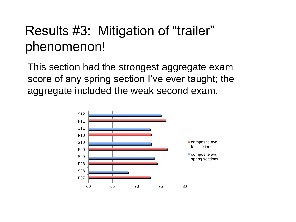#### Results #3: Mitigation of "trailer" phenomenon!

This section had the strongest aggregate exam score of any spring section I've ever taught; the aggregate included the weak second exam.